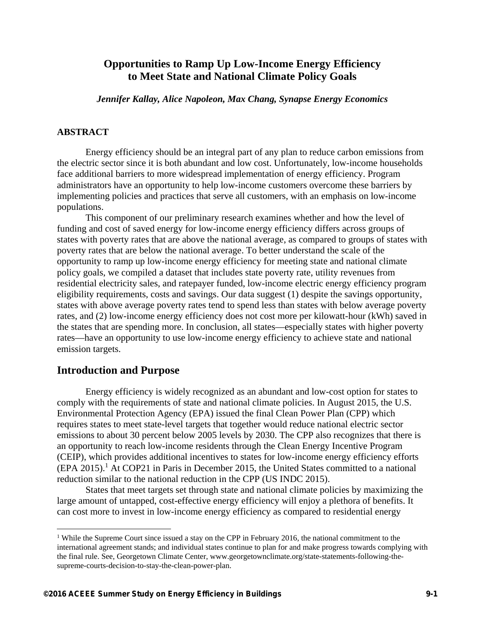# **Opportunities to Ramp Up Low-Income Energy Efficiency to Meet State and National Climate Policy Goals**

*Jennifer Kallay, Alice Napoleon, Max Chang, Synapse Energy Economics* 

#### **ABSTRACT**

Energy efficiency should be an integral part of any plan to reduce carbon emissions from the electric sector since it is both abundant and low cost. Unfortunately, low-income households face additional barriers to more widespread implementation of energy efficiency. Program administrators have an opportunity to help low-income customers overcome these barriers by implementing policies and practices that serve all customers, with an emphasis on low-income populations.

This component of our preliminary research examines whether and how the level of funding and cost of saved energy for low-income energy efficiency differs across groups of states with poverty rates that are above the national average, as compared to groups of states with poverty rates that are below the national average. To better understand the scale of the opportunity to ramp up low-income energy efficiency for meeting state and national climate policy goals, we compiled a dataset that includes state poverty rate, utility revenues from residential electricity sales, and ratepayer funded, low-income electric energy efficiency program eligibility requirements, costs and savings. Our data suggest (1) despite the savings opportunity, states with above average poverty rates tend to spend less than states with below average poverty rates, and (2) low-income energy efficiency does not cost more per kilowatt-hour (kWh) saved in the states that are spending more. In conclusion, all states—especially states with higher poverty rates—have an opportunity to use low-income energy efficiency to achieve state and national emission targets.

#### **Introduction and Purpose**

<u>.</u>

Energy efficiency is widely recognized as an abundant and low-cost option for states to comply with the requirements of state and national climate policies. In August 2015, the U.S. Environmental Protection Agency (EPA) issued the final Clean Power Plan (CPP) which requires states to meet state-level targets that together would reduce national electric sector emissions to about 30 percent below 2005 levels by 2030. The CPP also recognizes that there is an opportunity to reach low-income residents through the Clean Energy Incentive Program (CEIP), which provides additional incentives to states for low-income energy efficiency efforts  $(EPA 2015).$ <sup>1</sup> At COP21 in Paris in December 2015, the United States committed to a national reduction similar to the national reduction in the CPP (US INDC 2015).

States that meet targets set through state and national climate policies by maximizing the large amount of untapped, cost-effective energy efficiency will enjoy a plethora of benefits. It can cost more to invest in low-income energy efficiency as compared to residential energy

<sup>&</sup>lt;sup>1</sup> While the Supreme Court since issued a stay on the CPP in February 2016, the national commitment to the international agreement stands; and individual states continue to plan for and make progress towards complying with the final rule. See, Georgetown Climate Center, www.georgetownclimate.org/state-statements-following-thesupreme-courts-decision-to-stay-the-clean-power-plan.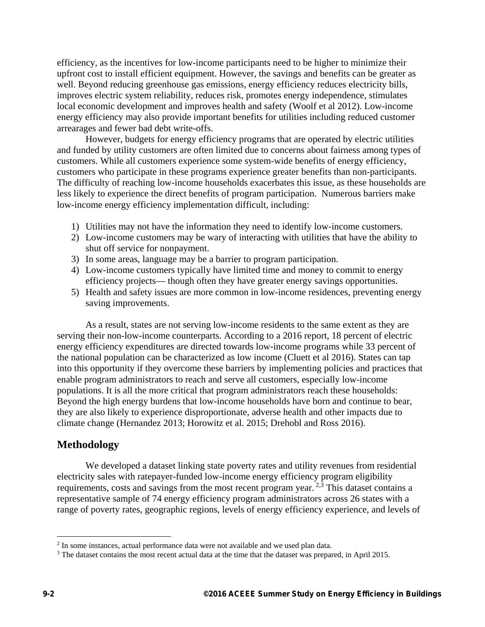efficiency, as the incentives for low-income participants need to be higher to minimize their upfront cost to install efficient equipment. However, the savings and benefits can be greater as well. Beyond reducing greenhouse gas emissions, energy efficiency reduces electricity bills, improves electric system reliability, reduces risk, promotes energy independence, stimulates local economic development and improves health and safety (Woolf et al 2012). Low-income energy efficiency may also provide important benefits for utilities including reduced customer arrearages and fewer bad debt write-offs.

However, budgets for energy efficiency programs that are operated by electric utilities and funded by utility customers are often limited due to concerns about fairness among types of customers. While all customers experience some system-wide benefits of energy efficiency, customers who participate in these programs experience greater benefits than non-participants. The difficulty of reaching low-income households exacerbates this issue, as these households are less likely to experience the direct benefits of program participation. Numerous barriers make low-income energy efficiency implementation difficult, including:

- 1) Utilities may not have the information they need to identify low-income customers.
- 2) Low-income customers may be wary of interacting with utilities that have the ability to shut off service for nonpayment.
- 3) In some areas, language may be a barrier to program participation.
- 4) Low-income customers typically have limited time and money to commit to energy efficiency projects— though often they have greater energy savings opportunities.
- 5) Health and safety issues are more common in low-income residences, preventing energy saving improvements.

As a result, states are not serving low-income residents to the same extent as they are serving their non-low-income counterparts. According to a 2016 report, 18 percent of electric energy efficiency expenditures are directed towards low-income programs while 33 percent of the national population can be characterized as low income (Cluett et al 2016). States can tap into this opportunity if they overcome these barriers by implementing policies and practices that enable program administrators to reach and serve all customers, especially low-income populations. It is all the more critical that program administrators reach these households: Beyond the high energy burdens that low-income households have born and continue to bear, they are also likely to experience disproportionate, adverse health and other impacts due to climate change (Hernandez 2013; Horowitz et al. 2015; Drehobl and Ross 2016).

#### **Methodology**

We developed a dataset linking state poverty rates and utility revenues from residential electricity sales with ratepayer-funded low-income energy efficiency program eligibility requirements, costs and savings from the most recent program year.<sup>2,3</sup> This dataset contains a representative sample of 74 energy efficiency program administrators across 26 states with a range of poverty rates, geographic regions, levels of energy efficiency experience, and levels of

 $\overline{a}$ 

<sup>&</sup>lt;sup>2</sup> In some instances, actual performance data were not available and we used plan data.

<sup>&</sup>lt;sup>3</sup> The dataset contains the most recent actual data at the time that the dataset was prepared, in April 2015.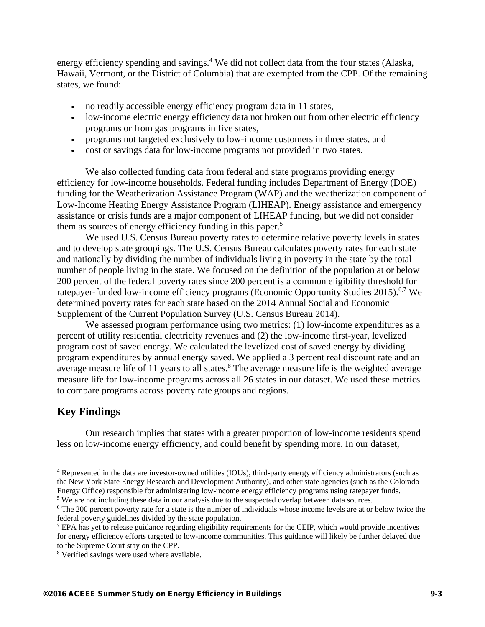energy efficiency spending and savings.<sup>4</sup> We did not collect data from the four states (Alaska, Hawaii, Vermont, or the District of Columbia) that are exempted from the CPP. Of the remaining states, we found:

- no readily accessible energy efficiency program data in 11 states,
- low-income electric energy efficiency data not broken out from other electric efficiency programs or from gas programs in five states,
- programs not targeted exclusively to low-income customers in three states, and
- cost or savings data for low-income programs not provided in two states.

We also collected funding data from federal and state programs providing energy efficiency for low-income households. Federal funding includes Department of Energy (DOE) funding for the Weatherization Assistance Program (WAP) and the weatherization component of Low-Income Heating Energy Assistance Program (LIHEAP). Energy assistance and emergency assistance or crisis funds are a major component of LIHEAP funding, but we did not consider them as sources of energy efficiency funding in this paper.<sup>5</sup>

We used U.S. Census Bureau poverty rates to determine relative poverty levels in states and to develop state groupings. The U.S. Census Bureau calculates poverty rates for each state and nationally by dividing the number of individuals living in poverty in the state by the total number of people living in the state. We focused on the definition of the population at or below 200 percent of the federal poverty rates since 200 percent is a common eligibility threshold for ratepayer-funded low-income efficiency programs (Economic Opportunity Studies 2015).<sup>6,7</sup> We determined poverty rates for each state based on the 2014 Annual Social and Economic Supplement of the Current Population Survey (U.S. Census Bureau 2014).

We assessed program performance using two metrics: (1) low-income expenditures as a percent of utility residential electricity revenues and (2) the low-income first-year, levelized program cost of saved energy. We calculated the levelized cost of saved energy by dividing program expenditures by annual energy saved. We applied a 3 percent real discount rate and an average measure life of 11 years to all states.<sup>8</sup> The average measure life is the weighted average measure life for low-income programs across all 26 states in our dataset. We used these metrics to compare programs across poverty rate groups and regions.

# **Key Findings**

 $\overline{a}$ 

Our research implies that states with a greater proportion of low-income residents spend less on low-income energy efficiency, and could benefit by spending more. In our dataset,

<sup>&</sup>lt;sup>4</sup> Represented in the data are investor-owned utilities (IOUs), third-party energy efficiency administrators (such as the New York State Energy Research and Development Authority), and other state agencies (such as the Colorado Energy Office) responsible for administering low-income energy efficiency programs using ratepayer funds.

<sup>&</sup>lt;sup>5</sup> We are not including these data in our analysis due to the suspected overlap between data sources.<br><sup>6</sup> The 200 percent poverty rate for a state is the number of individuals whose income levels are at or

<sup>&</sup>lt;sup>6</sup> The 200 percent poverty rate for a state is the number of individuals whose income levels are at or below twice the federal poverty guidelines divided by the state population.

<sup>&</sup>lt;sup>7</sup> EPA has yet to release guidance regarding eligibility requirements for the CEIP, which would provide incentives for energy efficiency efforts targeted to low-income communities. This guidance will likely be further delayed due to the Supreme Court stay on the CPP.

<sup>8</sup> Verified savings were used where available.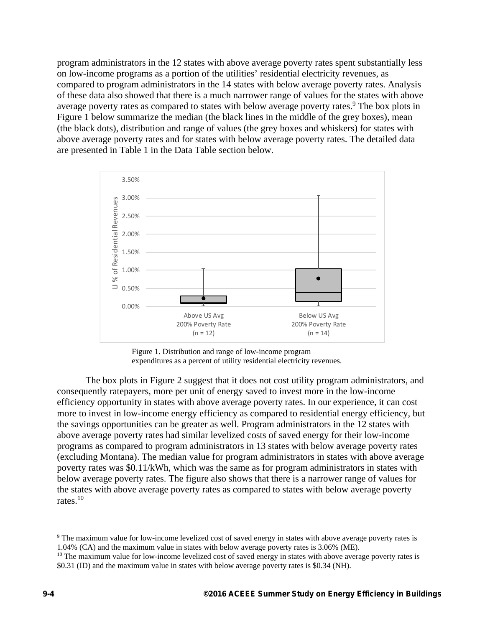program administrators in the 12 states with above average poverty rates spent substantially less on low-income programs as a portion of the utilities' residential electricity revenues, as compared to program administrators in the 14 states with below average poverty rates. Analysis of these data also showed that there is a much narrower range of values for the states with above average poverty rates as compared to states with below average poverty rates.<sup>9</sup> The box plots in Figure 1 below summarize the median (the black lines in the middle of the grey boxes), mean (the black dots), distribution and range of values (the grey boxes and whiskers) for states with above average poverty rates and for states with below average poverty rates. The detailed data are presented in Table 1 in the Data Table section below.



Figure 1. Distribution and range of low-income program expenditures as a percent of utility residential electricity revenues.

The box plots in Figure 2 suggest that it does not cost utility program administrators, and consequently ratepayers, more per unit of energy saved to invest more in the low-income efficiency opportunity in states with above average poverty rates. In our experience, it can cost more to invest in low-income energy efficiency as compared to residential energy efficiency, but the savings opportunities can be greater as well. Program administrators in the 12 states with above average poverty rates had similar levelized costs of saved energy for their low-income programs as compared to program administrators in 13 states with below average poverty rates (excluding Montana). The median value for program administrators in states with above average poverty rates was \$0.11/kWh, which was the same as for program administrators in states with below average poverty rates. The figure also shows that there is a narrower range of values for the states with above average poverty rates as compared to states with below average poverty rates.10

 $\overline{a}$ 

<sup>&</sup>lt;sup>9</sup> The maximum value for low-income levelized cost of saved energy in states with above average poverty rates is 1.04% (CA) and the maximum value in states with below average poverty rates is 3.06% (ME).

 $10$  The maximum value for low-income levelized cost of saved energy in states with above average poverty rates is \$0.31 (ID) and the maximum value in states with below average poverty rates is \$0.34 (NH).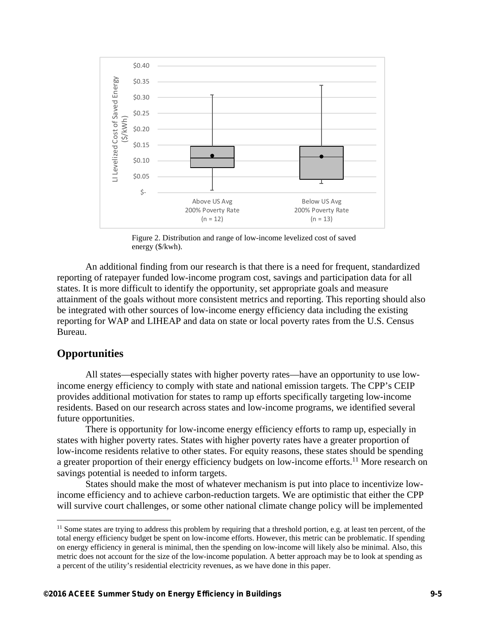

Figure 2. Distribution and range of low-income levelized cost of saved energy (\$/kwh).

An additional finding from our research is that there is a need for frequent, standardized reporting of ratepayer funded low-income program cost, savings and participation data for all states. It is more difficult to identify the opportunity, set appropriate goals and measure attainment of the goals without more consistent metrics and reporting. This reporting should also be integrated with other sources of low-income energy efficiency data including the existing reporting for WAP and LIHEAP and data on state or local poverty rates from the U.S. Census Bureau.

## **Opportunities**

1

All states—especially states with higher poverty rates—have an opportunity to use lowincome energy efficiency to comply with state and national emission targets. The CPP's CEIP provides additional motivation for states to ramp up efforts specifically targeting low-income residents. Based on our research across states and low-income programs, we identified several future opportunities.

There is opportunity for low-income energy efficiency efforts to ramp up, especially in states with higher poverty rates. States with higher poverty rates have a greater proportion of low-income residents relative to other states. For equity reasons, these states should be spending a greater proportion of their energy efficiency budgets on low-income efforts.<sup>11</sup> More research on savings potential is needed to inform targets.

States should make the most of whatever mechanism is put into place to incentivize lowincome efficiency and to achieve carbon-reduction targets. We are optimistic that either the CPP will survive court challenges, or some other national climate change policy will be implemented

 $<sup>11</sup>$  Some states are trying to address this problem by requiring that a threshold portion, e.g. at least ten percent, of the</sup> total energy efficiency budget be spent on low-income efforts. However, this metric can be problematic. If spending on energy efficiency in general is minimal, then the spending on low-income will likely also be minimal. Also, this metric does not account for the size of the low-income population. A better approach may be to look at spending as a percent of the utility's residential electricity revenues, as we have done in this paper.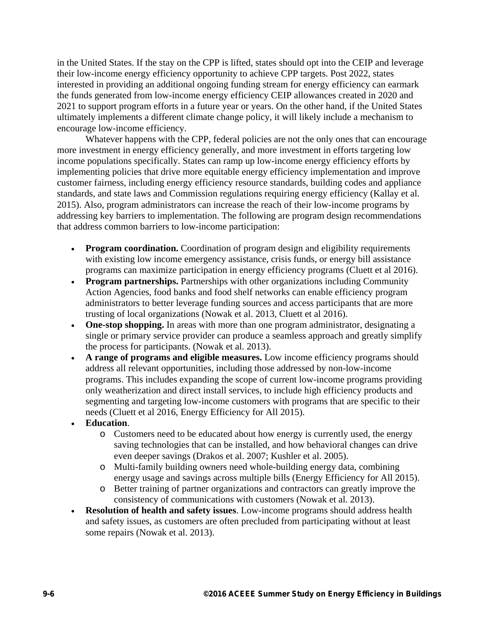in the United States. If the stay on the CPP is lifted, states should opt into the CEIP and leverage their low-income energy efficiency opportunity to achieve CPP targets. Post 2022, states interested in providing an additional ongoing funding stream for energy efficiency can earmark the funds generated from low-income energy efficiency CEIP allowances created in 2020 and 2021 to support program efforts in a future year or years. On the other hand, if the United States ultimately implements a different climate change policy, it will likely include a mechanism to encourage low-income efficiency.

Whatever happens with the CPP, federal policies are not the only ones that can encourage more investment in energy efficiency generally, and more investment in efforts targeting low income populations specifically. States can ramp up low-income energy efficiency efforts by implementing policies that drive more equitable energy efficiency implementation and improve customer fairness, including energy efficiency resource standards, building codes and appliance standards, and state laws and Commission regulations requiring energy efficiency (Kallay et al. 2015). Also, program administrators can increase the reach of their low-income programs by addressing key barriers to implementation. The following are program design recommendations that address common barriers to low-income participation:

- **Program coordination.** Coordination of program design and eligibility requirements with existing low income emergency assistance, crisis funds, or energy bill assistance programs can maximize participation in energy efficiency programs (Cluett et al 2016).
- **Program partnerships.** Partnerships with other organizations including Community Action Agencies, food banks and food shelf networks can enable efficiency program administrators to better leverage funding sources and access participants that are more trusting of local organizations (Nowak et al. 2013, Cluett et al 2016).
- **One-stop shopping.** In areas with more than one program administrator, designating a single or primary service provider can produce a seamless approach and greatly simplify the process for participants. (Nowak et al. 2013).
- **A range of programs and eligible measures.** Low income efficiency programs should address all relevant opportunities, including those addressed by non-low-income programs. This includes expanding the scope of current low-income programs providing only weatherization and direct install services, to include high efficiency products and segmenting and targeting low-income customers with programs that are specific to their needs (Cluett et al 2016, Energy Efficiency for All 2015).
- **Education**.
	- o Customers need to be educated about how energy is currently used, the energy saving technologies that can be installed, and how behavioral changes can drive even deeper savings (Drakos et al. 2007; Kushler et al. 2005).
	- o Multi-family building owners need whole-building energy data, combining energy usage and savings across multiple bills (Energy Efficiency for All 2015).
	- o Better training of partner organizations and contractors can greatly improve the consistency of communications with customers (Nowak et al. 2013).
- **Resolution of health and safety issues**. Low-income programs should address health and safety issues, as customers are often precluded from participating without at least some repairs (Nowak et al. 2013).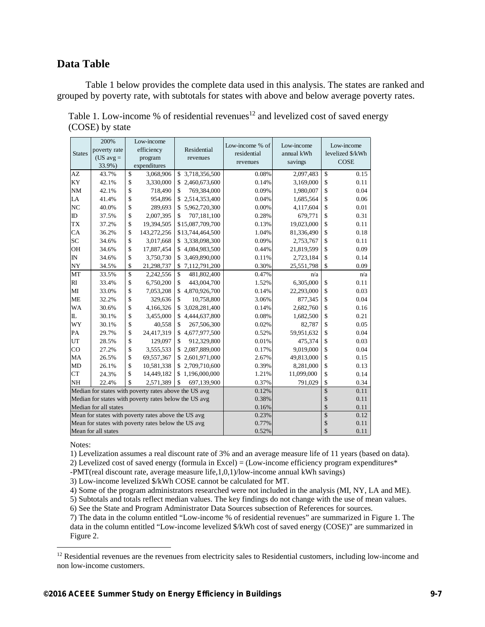## **Data Table**

Table 1 below provides the complete data used in this analysis. The states are ranked and grouped by poverty rate, with subtotals for states with above and below average poverty rates.

|                                                       | 200%         | Low-income |                                                     |                      | Low-income % of | Low-income | Low-income       |
|-------------------------------------------------------|--------------|------------|-----------------------------------------------------|----------------------|-----------------|------------|------------------|
| <b>States</b>                                         | poverty rate |            | efficiency                                          | Residential          | residential     | annual kWh | levelized \$/kWh |
|                                                       | $(US avg =$  |            | program                                             | revenues             | revenues        | savings    | <b>COSE</b>      |
|                                                       | 33.9%)       |            | expenditures                                        |                      |                 |            |                  |
| AZ                                                    | 43.7%        | \$         | 3,068,906                                           | \$3,718,356,500      | 0.08%           | 2,097,483  | \$<br>0.15       |
| KY                                                    | 42.1%        | \$         | 3,330,000                                           | \$2,460,673,600      | 0.14%           | 3,169,000  | \$<br>0.11       |
| <b>NM</b>                                             | 42.1%        | \$         | 718,490                                             | \$<br>769,384,000    | 0.09%           | 1,980,007  | \$<br>0.04       |
| LA                                                    | 41.4%        | \$         | 954,896                                             | 2,514,353,400<br>\$  | 0.04%           | 1,685,564  | \$<br>0.06       |
| N <sub>C</sub>                                        | 40.0%        | \$         | 289,693                                             | \$5,962,720,300      | 0.00%           | 4,117,604  | \$<br>0.01       |
| ID                                                    | 37.5%        | \$         | 2,007,395                                           | \$<br>707,181,100    | 0.28%           | 679,771    | \$<br>0.31       |
| <b>TX</b>                                             | 37.2%        | \$         | 19,394,505                                          | \$15,087,709,700     | 0.13%           | 19,023,000 | \$<br>0.11       |
| CA                                                    | 36.2%        | \$         | 143,272,256                                         | \$13,744,464,500     | 1.04%           | 81,336,490 | \$<br>0.18       |
| SC                                                    | 34.6%        | \$         | 3,017,668                                           | \$3,338,098,300      | 0.09%           | 2,753,767  | \$<br>0.11       |
| <b>OH</b>                                             | 34.6%        | \$         | 17,887,454                                          | \$4,084,983,500      | 0.44%           | 21,819,599 | \$<br>0.09       |
| IN                                                    | 34.6%        | \$         | 3,750,730                                           | 3,469,890,000<br>\$  | 0.11%           | 2,723,184  | \$<br>0.14       |
| NY                                                    | 34.5%        | \$         | 21,298,737                                          | 7,112,791,200<br>\$  | 0.30%           | 25,551,798 | \$<br>0.09       |
| MT                                                    | 33.5%        | \$         | 2,242,556                                           | \$<br>481,802,400    | 0.47%           | n/a        | n/a              |
| RI                                                    | 33.4%        | \$         | 6,750,200                                           | \$<br>443,004,700    | 1.52%           | 6,305,000  | \$<br>0.11       |
| MI                                                    | 33.0%        | \$         | 7,053,208                                           | \$<br>4,870,926,700  | 0.14%           | 22,293,000 | \$<br>0.03       |
| <b>ME</b>                                             | 32.2%        | \$         | 329,636                                             | \$<br>10,758,800     | 3.06%           | 877,345    | \$<br>0.04       |
| WA                                                    | 30.6%        | \$         | 4,166,326                                           | 3,028,281,400<br>\$  | 0.14%           | 2,682,760  | \$<br>0.16       |
| IL.                                                   | 30.1%        | \$         | 3,455,000                                           | 4,444,637,800<br>\$  | 0.08%           | 1,682,500  | \$<br>0.21       |
| WY                                                    | 30.1%        | \$         | 40,558                                              | \$<br>267,506,300    | 0.02%           | 82,787     | \$<br>0.05       |
| PA                                                    | 29.7%        | \$         | 24,417,319                                          | 4,677,977,500<br>\$  | 0.52%           | 59,951,632 | \$<br>0.04       |
| UT                                                    | 28.5%        | \$         | 129,097                                             | \$<br>912,329,800    | 0.01%           | 475,374    | \$<br>0.03       |
| CO                                                    | 27.2%        | \$         | 3,555,533                                           | 2,087,889,000<br>\$  | 0.17%           | 9,019,000  | \$<br>0.04       |
| MA                                                    | 26.5%        | \$         | 69,557,367                                          | 2,601,971,000<br>\$  | 2.67%           | 49,813,000 | \$<br>0.15       |
| MD                                                    | 26.1%        | \$         | 10,581,338                                          | 2,709,710,600<br>\$. | 0.39%           | 8,281,000  | \$<br>0.13       |
| <b>CT</b>                                             | 24.3%        | \$         | 14,449,182                                          | \$1,196,000,000      | 1.21%           | 11,099,000 | \$<br>0.14       |
| NH                                                    | 22.4%        | \$         | 2,571,389                                           | \$<br>697,139,900    | 0.37%           | 791,029    | \$<br>0.34       |
| Median for states with poverty rates above the US avg |              |            |                                                     |                      | 0.12%           |            | \$<br>0.11       |
| Median for states with poverty rates below the US avg |              |            |                                                     |                      | 0.38%           |            | \$<br>0.11       |
| Median for all states                                 |              |            |                                                     |                      | 0.16%           |            | \$<br>0.11       |
|                                                       |              |            | Mean for states with poverty rates above the US avg |                      | 0.23%           |            | \$<br>0.12       |
| Mean for states with poverty rates below the US avg   |              |            |                                                     |                      | 0.77%           |            | \$<br>0.11       |
| Mean for all states                                   |              |            |                                                     |                      | 0.52%           |            | \$<br>0.11       |

Table 1. Low-income % of residential revenues<sup>12</sup> and levelized cost of saved energy (COSE) by state

Notes:

 $\overline{a}$ 

1) Levelization assumes a real discount rate of 3% and an average measure life of 11 years (based on data).

2) Levelized cost of saved energy (formula in Excel) = (Low-income efficiency program expenditures $*$ 

-PMT(real discount rate, average measure life,1,0,1)/low-income annual kWh savings)

3) Low-income levelized \$/kWh COSE cannot be calculated for MT.

4) Some of the program administrators researched were not included in the analysis (MI, NY, LA and ME).

5) Subtotals and totals reflect median values. The key findings do not change with the use of mean values.

6) See the State and Program Administrator Data Sources subsection of References for sources.

7) The data in the column entitled "Low-income % of residential revenues" are summarized in Figure 1. The data in the column entitled "Low-income levelized \$/kWh cost of saved energy (COSE)" are summarized in Figure 2.

 $12$  Residential revenues are the revenues from electricity sales to Residential customers, including low-income and non low-income customers.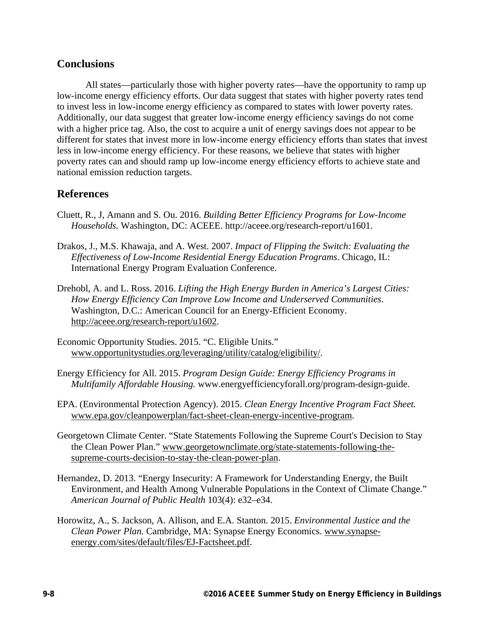# **Conclusions**

All states—particularly those with higher poverty rates—have the opportunity to ramp up low-income energy efficiency efforts. Our data suggest that states with higher poverty rates tend to invest less in low-income energy efficiency as compared to states with lower poverty rates. Additionally, our data suggest that greater low-income energy efficiency savings do not come with a higher price tag. Also, the cost to acquire a unit of energy savings does not appear to be different for states that invest more in low-income energy efficiency efforts than states that invest less in low-income energy efficiency. For these reasons, we believe that states with higher poverty rates can and should ramp up low-income energy efficiency efforts to achieve state and national emission reduction targets.

# **References**

- Cluett, R., J, Amann and S. Ou. 2016. *Building Better Efficiency Programs for Low-Income Households.* Washington, DC: ACEEE. http://aceee.org/research-report/u1601.
- Drakos, J., M.S. Khawaja, and A. West. 2007. *Impact of Flipping the Switch: Evaluating the Effectiveness of Low-Income Residential Energy Education Programs*. Chicago, IL: International Energy Program Evaluation Conference.
- Drehobl, A. and L. Ross. 2016. *Lifting the High Energy Burden in America's Largest Cities: How Energy Efficiency Can Improve Low Income and Underserved Communities*. Washington, D.C.: American Council for an Energy-Efficient Economy. http://aceee.org/research-report/u1602.
- Economic Opportunity Studies. 2015. "C. Eligible Units." www.opportunitystudies.org/leveraging/utility/catalog/eligibility/.
- Energy Efficiency for All. 2015. *Program Design Guide: Energy Efficiency Programs in Multifamily Affordable Housing.* www.energyefficiencyforall.org/program-design-guide.
- EPA. (Environmental Protection Agency). 2015. *Clean Energy Incentive Program Fact Sheet.* www.epa.gov/cleanpowerplan/fact-sheet-clean-energy-incentive-program.
- Georgetown Climate Center. "State Statements Following the Supreme Court's Decision to Stay the Clean Power Plan." www.georgetownclimate.org/state-statements-following-thesupreme-courts-decision-to-stay-the-clean-power-plan.
- Hernandez, D. 2013. "Energy Insecurity: A Framework for Understanding Energy, the Built Environment, and Health Among Vulnerable Populations in the Context of Climate Change." *American Journal of Public Health* 103(4): e32–e34.
- Horowitz, A., S. Jackson, A. Allison, and E.A. Stanton. 2015. *Environmental Justice and the Clean Power Plan.* Cambridge, MA: Synapse Energy Economics. www.synapseenergy.com/sites/default/files/EJ-Factsheet.pdf.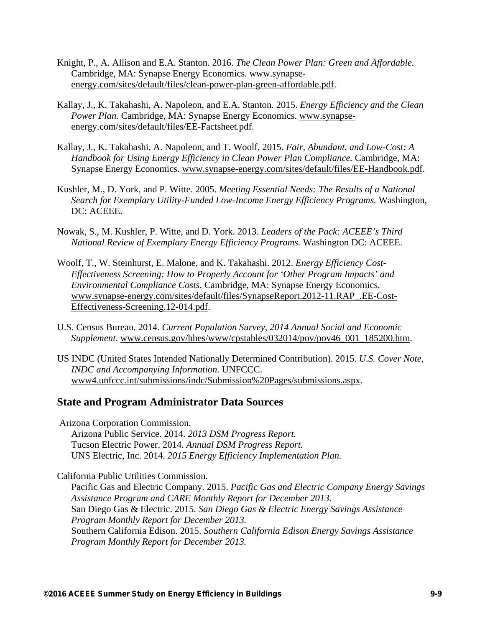- Knight, P., A. Allison and E.A. Stanton. 2016. *The Clean Power Plan: Green and Affordable.* Cambridge, MA: Synapse Energy Economics. www.synapseenergy.com/sites/default/files/clean-power-plan-green-affordable.pdf.
- Kallay, J., K. Takahashi, A. Napoleon, and E.A. Stanton. 2015. *Energy Efficiency and the Clean Power Plan.* Cambridge, MA: Synapse Energy Economics. www.synapseenergy.com/sites/default/files/EE-Factsheet.pdf.
- Kallay, J., K. Takahashi, A. Napoleon, and T. Woolf. 2015. *Fair, Abundant, and Low-Cost: A Handbook for Using Energy Efficiency in Clean Power Plan Compliance.* Cambridge, MA: Synapse Energy Economics. www.synapse-energy.com/sites/default/files/EE-Handbook.pdf.
- Kushler, M., D. York, and P. Witte. 2005. *Meeting Essential Needs: The Results of a National Search for Exemplary Utility-Funded Low-Income Energy Efficiency Programs.* Washington, DC: ACEEE.
- Nowak, S., M. Kushler, P. Witte, and D. York. 2013. *Leaders of the Pack: ACEEE's Third National Review of Exemplary Energy Efficiency Programs.* Washington DC: ACEEE.
- Woolf, T., W. Steinhurst, E. Malone, and K. Takahashi. 2012. *Energy Efficiency Cost-Effectiveness Screening: How to Properly Account for 'Other Program Impacts' and Environmental Compliance Costs*. Cambridge, MA: Synapse Energy Economics. www.synapse-energy.com/sites/default/files/SynapseReport.2012-11.RAP\_.EE-Cost-Effectiveness-Screening.12-014.pdf.
- U.S. Census Bureau. 2014. *Current Population Survey, 2014 Annual Social and Economic Supplement*. www.census.gov/hhes/www/cpstables/032014/pov/pov46\_001\_185200.htm.
- US INDC (United States Intended Nationally Determined Contribution). 2015. *U.S. Cover Note, INDC and Accompanying Information.* UNFCCC. www4.unfccc.int/submissions/indc/Submission%20Pages/submissions.aspx.

## **State and Program Administrator Data Sources**

Arizona Corporation Commission.

 Arizona Public Service. 2014. *2013 DSM Progress Report.*  Tucson Electric Power. 2014. *Annual DSM Progress Report.*  UNS Electric, Inc. 2014. *2015 Energy Efficiency Implementation Plan.*

California Public Utilities Commission.

Pacific Gas and Electric Company. 2015. *Pacific Gas and Electric Company Energy Savings Assistance Program and CARE Monthly Report for December 2013.* San Diego Gas & Electric. 2015. *San Diego Gas & Electric Energy Savings Assistance Program Monthly Report for December 2013.* Southern California Edison. 2015. *Southern California Edison Energy Savings Assistance Program Monthly Report for December 2013.*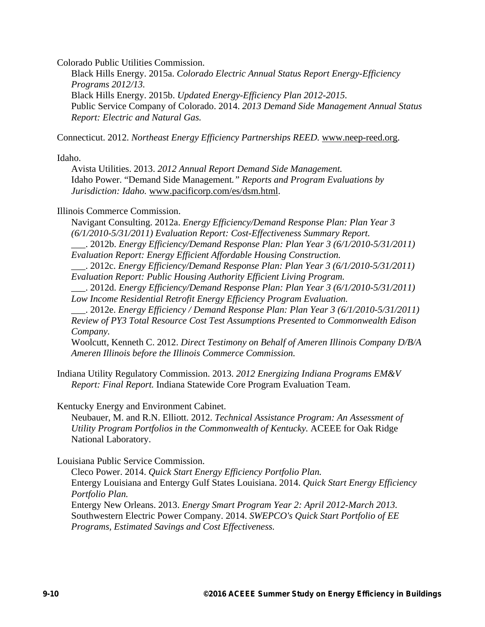Colorado Public Utilities Commission.

Black Hills Energy. 2015a. *Colorado Electric Annual Status Report Energy-Efficiency Programs 2012/13.*  Black Hills Energy. 2015b. *Updated Energy-Efficiency Plan 2012-2015.*  Public Service Company of Colorado. 2014. *2013 Demand Side Management Annual Status Report: Electric and Natural Gas.*

Connecticut. 2012. *Northeast Energy Efficiency Partnerships REED.* www.neep-reed.org.

Idaho.

Avista Utilities. 2013. *2012 Annual Report Demand Side Management.*  Idaho Power. "Demand Side Management*." Reports and Program Evaluations by Jurisdiction: Idaho.* www.pacificorp.com/es/dsm.html.

#### Illinois Commerce Commission.

Navigant Consulting. 2012a. *Energy Efficiency/Demand Response Plan: Plan Year 3 (6/1/2010-5/31/2011) Evaluation Report: Cost-Effectiveness Summary Report.* \_\_\_. 2012b. *Energy Efficiency/Demand Response Plan: Plan Year 3 (6/1/2010-5/31/2011) Evaluation Report: Energy Efficient Affordable Housing Construction.*

\_\_\_. 2012c. *Energy Efficiency/Demand Response Plan: Plan Year 3 (6/1/2010-5/31/2011) Evaluation Report: Public Housing Authority Efficient Living Program.* 

\_\_\_. 2012d. *Energy Efficiency/Demand Response Plan: Plan Year 3 (6/1/2010-5/31/2011) Low Income Residential Retrofit Energy Efficiency Program Evaluation.*

\_\_\_. 2012e. *Energy Efficiency / Demand Response Plan: Plan Year 3 (6/1/2010-5/31/2011) Review of PY3 Total Resource Cost Test Assumptions Presented to Commonwealth Edison Company.*

Woolcutt, Kenneth C. 2012. *Direct Testimony on Behalf of Ameren Illinois Company D/B/A Ameren Illinois before the Illinois Commerce Commission.*

Indiana Utility Regulatory Commission. 2013. *2012 Energizing Indiana Programs EM&V Report: Final Report.* Indiana Statewide Core Program Evaluation Team.

Kentucky Energy and Environment Cabinet.

Neubauer, M. and R.N. Elliott. 2012. *Technical Assistance Program: An Assessment of Utility Program Portfolios in the Commonwealth of Kentucky.* ACEEE for Oak Ridge National Laboratory.

Louisiana Public Service Commission.

Cleco Power. 2014. *Quick Start Energy Efficiency Portfolio Plan.*  Entergy Louisiana and Entergy Gulf States Louisiana. 2014. *Quick Start Energy Efficiency Portfolio Plan.* Entergy New Orleans. 2013. *Energy Smart Program Year 2: April 2012-March 2013.* Southwestern Electric Power Company. 2014. *SWEPCO's Quick Start Portfolio of EE Programs, Estimated Savings and Cost Effectiveness.*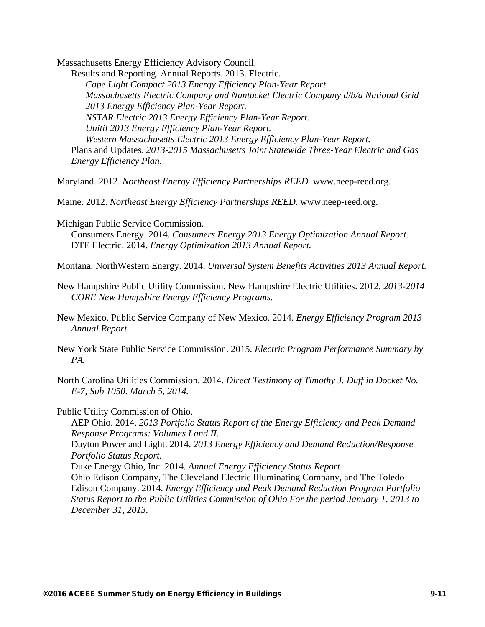Massachusetts Energy Efficiency Advisory Council.

Results and Reporting. Annual Reports. 2013. Electric. *Cape Light Compact 2013 Energy Efficiency Plan-Year Report. Massachusetts Electric Company and Nantucket Electric Company d/b/a National Grid 2013 Energy Efficiency Plan-Year Report. NSTAR Electric 2013 Energy Efficiency Plan-Year Report. Unitil 2013 Energy Efficiency Plan-Year Report. Western Massachusetts Electric 2013 Energy Efficiency Plan-Year Report.* Plans and Updates. *2013-2015 Massachusetts Joint Statewide Three-Year Electric and Gas Energy Efficiency Plan.*

Maryland. 2012. *Northeast Energy Efficiency Partnerships REED.* www.neep-reed.org.

Maine. 2012. *Northeast Energy Efficiency Partnerships REED.* www.neep-reed.org.

Michigan Public Service Commission.

Consumers Energy. 2014. *Consumers Energy 2013 Energy Optimization Annual Report.* DTE Electric. 2014. *Energy Optimization 2013 Annual Report.* 

Montana. NorthWestern Energy. 2014. *Universal System Benefits Activities 2013 Annual Report.* 

New Hampshire Public Utility Commission. New Hampshire Electric Utilities. 2012*. 2013-2014 CORE New Hampshire Energy Efficiency Programs.*

New Mexico. Public Service Company of New Mexico. 2014. *Energy Efficiency Program 2013 Annual Report.* 

New York State Public Service Commission. 2015. *Electric Program Performance Summary by PA.* 

North Carolina Utilities Commission. 2014. *Direct Testimony of Timothy J. Duff in Docket No. E-7, Sub 1050. March 5, 2014.* 

Public Utility Commission of Ohio.

AEP Ohio. 2014. *2013 Portfolio Status Report of the Energy Efficiency and Peak Demand Response Programs: Volumes I and II.*

Dayton Power and Light. 2014. *2013 Energy Efficiency and Demand Reduction/Response Portfolio Status Report.*

Duke Energy Ohio, Inc. 2014. *Annual Energy Efficiency Status Report.*

Ohio Edison Company, The Cleveland Electric Illuminating Company, and The Toledo Edison Company. 2014. *Energy Efficiency and Peak Demand Reduction Program Portfolio Status Report to the Public Utilities Commission of Ohio For the period January 1, 2013 to December 31, 2013.*